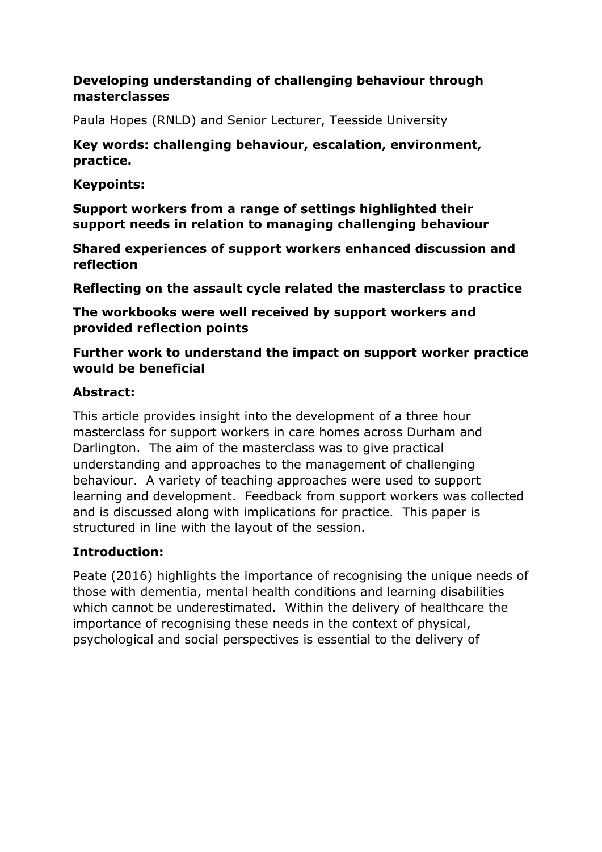### **Developing understanding of challenging behaviour through masterclasses**

Paula Hopes (RNLD) and Senior Lecturer, Teesside University

### **Key words: challenging behaviour, escalation, environment, practice.**

**Keypoints:** 

**Support workers from a range of settings highlighted their support needs in relation to managing challenging behaviour** 

**Shared experiences of support workers enhanced discussion and reflection** 

**Reflecting on the assault cycle related the masterclass to practice** 

**The workbooks were well received by support workers and provided reflection points** 

**Further work to understand the impact on support worker practice would be beneficial** 

### **Abstract:**

This article provides insight into the development of a three hour masterclass for support workers in care homes across Durham and Darlington. The aim of the masterclass was to give practical understanding and approaches to the management of challenging behaviour. A variety of teaching approaches were used to support learning and development. Feedback from support workers was collected and is discussed along with implications for practice. This paper is structured in line with the layout of the session.

# **Introduction:**

Peate (2016) highlights the importance of recognising the unique needs of those with dementia, mental health conditions and learning disabilities which cannot be underestimated. Within the delivery of healthcare the importance of recognising these needs in the context of physical, psychological and social perspectives is essential to the delivery of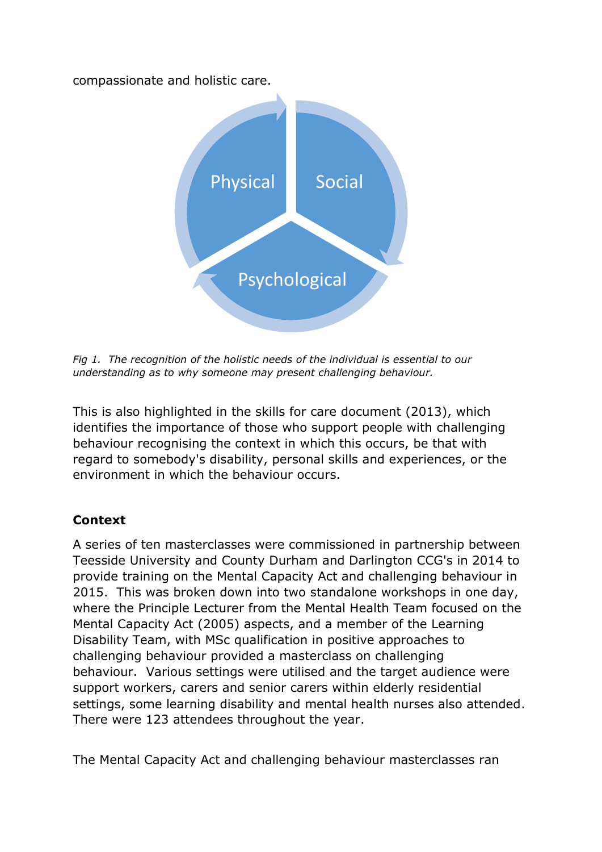compassionate and holistic care.



*Fig 1. The recognition of the holistic needs of the individual is essential to our understanding as to why someone may present challenging behaviour.* 

This is also highlighted in the skills for care document (2013), which identifies the importance of those who support people with challenging behaviour recognising the context in which this occurs, be that with regard to somebody's disability, personal skills and experiences, or the environment in which the behaviour occurs.

# **Context**

A series of ten masterclasses were commissioned in partnership between Teesside University and County Durham and Darlington CCG's in 2014 to provide training on the Mental Capacity Act and challenging behaviour in 2015. This was broken down into two standalone workshops in one day, where the Principle Lecturer from the Mental Health Team focused on the Mental Capacity Act (2005) aspects, and a member of the Learning Disability Team, with MSc qualification in positive approaches to challenging behaviour provided a masterclass on challenging behaviour. Various settings were utilised and the target audience were support workers, carers and senior carers within elderly residential settings, some learning disability and mental health nurses also attended. There were 123 attendees throughout the year.

The Mental Capacity Act and challenging behaviour masterclasses ran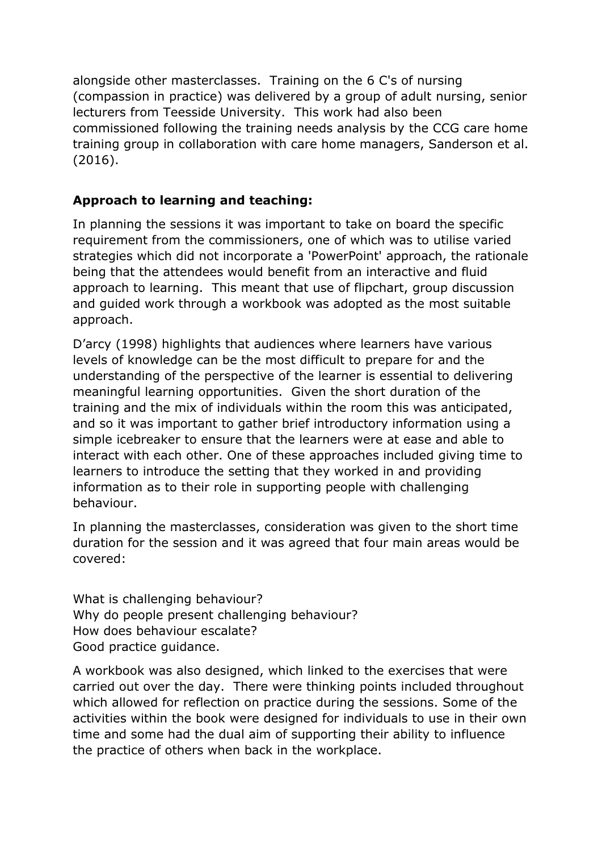alongside other masterclasses. Training on the 6 C's of nursing (compassion in practice) was delivered by a group of adult nursing, senior lecturers from Teesside University. This work had also been commissioned following the training needs analysis by the CCG care home training group in collaboration with care home managers, Sanderson et al. (2016).

### **Approach to learning and teaching:**

In planning the sessions it was important to take on board the specific requirement from the commissioners, one of which was to utilise varied strategies which did not incorporate a 'PowerPoint' approach, the rationale being that the attendees would benefit from an interactive and fluid approach to learning. This meant that use of flipchart, group discussion and guided work through a workbook was adopted as the most suitable approach.

D'arcy (1998) highlights that audiences where learners have various levels of knowledge can be the most difficult to prepare for and the understanding of the perspective of the learner is essential to delivering meaningful learning opportunities. Given the short duration of the training and the mix of individuals within the room this was anticipated, and so it was important to gather brief introductory information using a simple icebreaker to ensure that the learners were at ease and able to interact with each other. One of these approaches included giving time to learners to introduce the setting that they worked in and providing information as to their role in supporting people with challenging behaviour.

In planning the masterclasses, consideration was given to the short time duration for the session and it was agreed that four main areas would be covered:

What is challenging behaviour? Why do people present challenging behaviour? How does behaviour escalate? Good practice guidance.

A workbook was also designed, which linked to the exercises that were carried out over the day. There were thinking points included throughout which allowed for reflection on practice during the sessions. Some of the activities within the book were designed for individuals to use in their own time and some had the dual aim of supporting their ability to influence the practice of others when back in the workplace.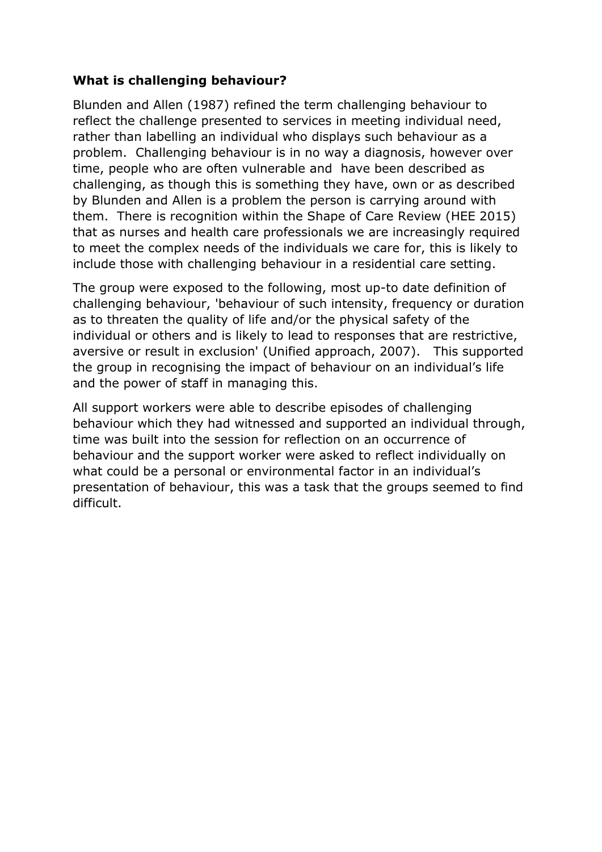### **What is challenging behaviour?**

Blunden and Allen (1987) refined the term challenging behaviour to reflect the challenge presented to services in meeting individual need, rather than labelling an individual who displays such behaviour as a problem. Challenging behaviour is in no way a diagnosis, however over time, people who are often vulnerable and have been described as challenging, as though this is something they have, own or as described by Blunden and Allen is a problem the person is carrying around with them. There is recognition within the Shape of Care Review (HEE 2015) that as nurses and health care professionals we are increasingly required to meet the complex needs of the individuals we care for, this is likely to include those with challenging behaviour in a residential care setting.

The group were exposed to the following, most up-to date definition of challenging behaviour, 'behaviour of such intensity, frequency or duration as to threaten the quality of life and/or the physical safety of the individual or others and is likely to lead to responses that are restrictive, aversive or result in exclusion' (Unified approach, 2007). This supported the group in recognising the impact of behaviour on an individual's life and the power of staff in managing this.

All support workers were able to describe episodes of challenging behaviour which they had witnessed and supported an individual through, time was built into the session for reflection on an occurrence of behaviour and the support worker were asked to reflect individually on what could be a personal or environmental factor in an individual's presentation of behaviour, this was a task that the groups seemed to find difficult.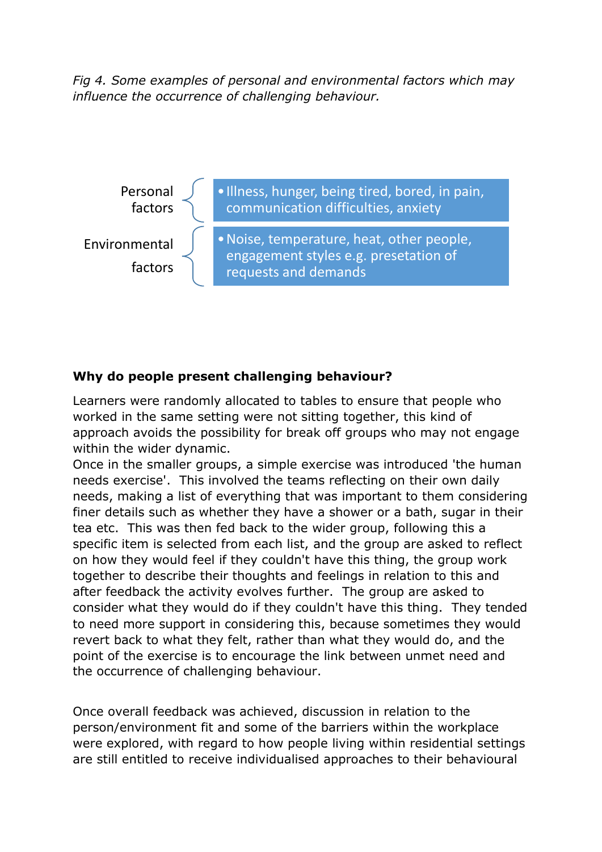*Fig 4. Some examples of personal and environmental factors which may influence the occurrence of challenging behaviour.*



#### **Why do people present challenging behaviour?**

Learners were randomly allocated to tables to ensure that people who worked in the same setting were not sitting together, this kind of approach avoids the possibility for break off groups who may not engage within the wider dynamic.

Once in the smaller groups, a simple exercise was introduced 'the human needs exercise'. This involved the teams reflecting on their own daily needs, making a list of everything that was important to them considering finer details such as whether they have a shower or a bath, sugar in their tea etc. This was then fed back to the wider group, following this a specific item is selected from each list, and the group are asked to reflect on how they would feel if they couldn't have this thing, the group work together to describe their thoughts and feelings in relation to this and after feedback the activity evolves further. The group are asked to consider what they would do if they couldn't have this thing. They tended to need more support in considering this, because sometimes they would revert back to what they felt, rather than what they would do, and the point of the exercise is to encourage the link between unmet need and the occurrence of challenging behaviour.

Once overall feedback was achieved, discussion in relation to the person/environment fit and some of the barriers within the workplace were explored, with regard to how people living within residential settings are still entitled to receive individualised approaches to their behavioural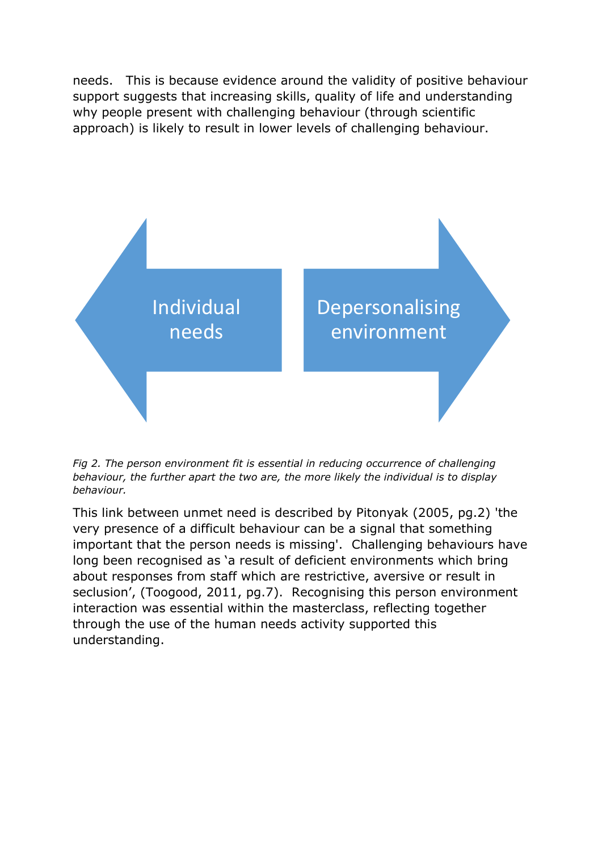needs. This is because evidence around the validity of positive behaviour support suggests that increasing skills, quality of life and understanding why people present with challenging behaviour (through scientific approach) is likely to result in lower levels of challenging behaviour.



*Fig 2. The person environment fit is essential in reducing occurrence of challenging behaviour, the further apart the two are, the more likely the individual is to display behaviour.* 

This link between unmet need is described by Pitonyak (2005, pg.2) 'the very presence of a difficult behaviour can be a signal that something important that the person needs is missing'. Challenging behaviours have long been recognised as 'a result of deficient environments which bring about responses from staff which are restrictive, aversive or result in seclusion', (Toogood, 2011, pg.7). Recognising this person environment interaction was essential within the masterclass, reflecting together through the use of the human needs activity supported this understanding.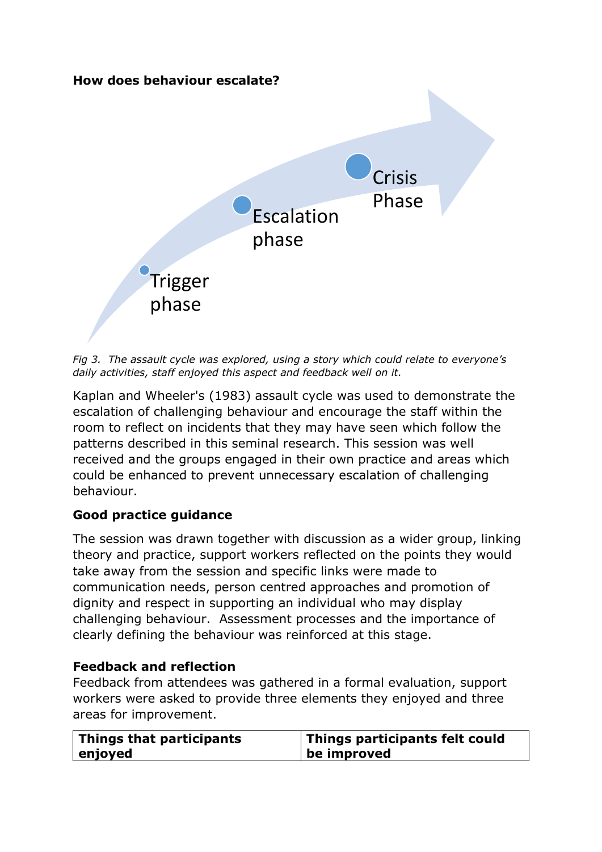

*Fig 3. The assault cycle was explored, using a story which could relate to everyone's daily activities, staff enjoyed this aspect and feedback well on it.* 

Kaplan and Wheeler's (1983) assault cycle was used to demonstrate the escalation of challenging behaviour and encourage the staff within the room to reflect on incidents that they may have seen which follow the patterns described in this seminal research. This session was well received and the groups engaged in their own practice and areas which could be enhanced to prevent unnecessary escalation of challenging behaviour.

# **Good practice guidance**

The session was drawn together with discussion as a wider group, linking theory and practice, support workers reflected on the points they would take away from the session and specific links were made to communication needs, person centred approaches and promotion of dignity and respect in supporting an individual who may display challenging behaviour. Assessment processes and the importance of clearly defining the behaviour was reinforced at this stage.

# **Feedback and reflection**

Feedback from attendees was gathered in a formal evaluation, support workers were asked to provide three elements they enjoyed and three areas for improvement.

| Things that participants | Things participants felt could |
|--------------------------|--------------------------------|
| enjoyed                  | be improved                    |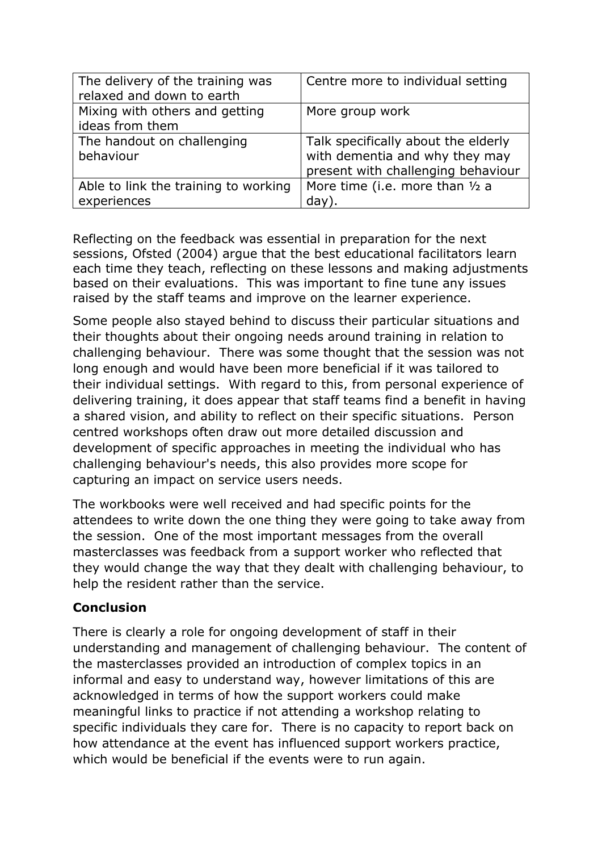| The delivery of the training was     | Centre more to individual setting   |
|--------------------------------------|-------------------------------------|
| relaxed and down to earth            |                                     |
| Mixing with others and getting       | More group work                     |
| ideas from them                      |                                     |
| The handout on challenging           | Talk specifically about the elderly |
| behaviour                            | with dementia and why they may      |
|                                      | present with challenging behaviour  |
| Able to link the training to working | More time (i.e. more than 1/2 a     |
| experiences                          | $day)$ .                            |

Reflecting on the feedback was essential in preparation for the next sessions, Ofsted (2004) argue that the best educational facilitators learn each time they teach, reflecting on these lessons and making adjustments based on their evaluations. This was important to fine tune any issues raised by the staff teams and improve on the learner experience.

Some people also stayed behind to discuss their particular situations and their thoughts about their ongoing needs around training in relation to challenging behaviour. There was some thought that the session was not long enough and would have been more beneficial if it was tailored to their individual settings. With regard to this, from personal experience of delivering training, it does appear that staff teams find a benefit in having a shared vision, and ability to reflect on their specific situations. Person centred workshops often draw out more detailed discussion and development of specific approaches in meeting the individual who has challenging behaviour's needs, this also provides more scope for capturing an impact on service users needs.

The workbooks were well received and had specific points for the attendees to write down the one thing they were going to take away from the session. One of the most important messages from the overall masterclasses was feedback from a support worker who reflected that they would change the way that they dealt with challenging behaviour, to help the resident rather than the service.

#### **Conclusion**

There is clearly a role for ongoing development of staff in their understanding and management of challenging behaviour. The content of the masterclasses provided an introduction of complex topics in an informal and easy to understand way, however limitations of this are acknowledged in terms of how the support workers could make meaningful links to practice if not attending a workshop relating to specific individuals they care for. There is no capacity to report back on how attendance at the event has influenced support workers practice, which would be beneficial if the events were to run again.